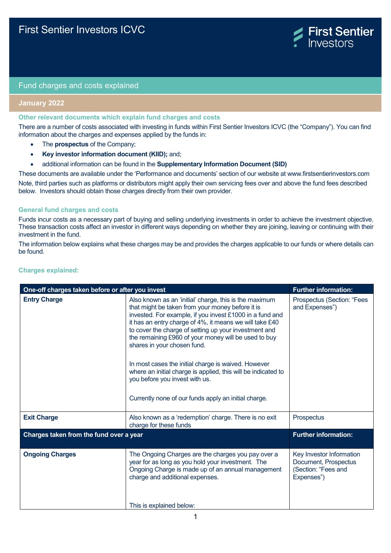

## Fund charges and costs explained

# **January 2022**

### **Other relevant documents which explain fund charges and costs**

There are a number of costs associated with investing in funds within First Sentier Investors ICVC (the "Company"). You can find information about the charges and expenses applied by the funds in:

- The **prospectus** of the Company;
- **Key investor information document (KIID);** and;
- additional information can be found in the **Supplementary Information Document (SID)**

These documents are available under the 'Performance and documents' section of our website at www.firstsentierinvestors.com Note, third parties such as platforms or distributors might apply their own servicing fees over and above the fund fees described below. Investors should obtain those charges directly from their own provider.

### **General fund charges and costs**

Funds incur costs as a necessary part of buying and selling underlying investments in order to achieve the investment objective. These transaction costs affect an investor in different ways depending on whether they are joining, leaving or continuing with their investment in the fund.

The information below explains what these charges may be and provides the charges applicable to our funds or where details can be found.

| One-off charges taken before or after you invest | <b>Further information:</b>                                                                                                                                                                                                                                                                                                                                                                                                                                                                                                                                                                         |                                                                                       |
|--------------------------------------------------|-----------------------------------------------------------------------------------------------------------------------------------------------------------------------------------------------------------------------------------------------------------------------------------------------------------------------------------------------------------------------------------------------------------------------------------------------------------------------------------------------------------------------------------------------------------------------------------------------------|---------------------------------------------------------------------------------------|
| <b>Entry Charge</b>                              | Also known as an 'initial' charge, this is the maximum<br>that might be taken from your money before it is<br>invested. For example, if you invest £1000 in a fund and<br>it has an entry charge of 4%, it means we will take £40<br>to cover the charge of setting up your investment and<br>the remaining £960 of your money will be used to buy<br>shares in your chosen fund.<br>In most cases the initial charge is waived. However<br>where an initial charge is applied, this will be indicated to<br>you before you invest with us.<br>Currently none of our funds apply an initial charge. | Prospectus (Section: "Fees<br>and Expenses")                                          |
| <b>Exit Charge</b>                               | Also known as a 'redemption' charge. There is no exit<br>charge for these funds                                                                                                                                                                                                                                                                                                                                                                                                                                                                                                                     | Prospectus                                                                            |
| Charges taken from the fund over a year          |                                                                                                                                                                                                                                                                                                                                                                                                                                                                                                                                                                                                     | <b>Further information:</b>                                                           |
| <b>Ongoing Charges</b>                           | The Ongoing Charges are the charges you pay over a<br>year for as long as you hold your investment. The<br>Ongoing Charge is made up of an annual management<br>charge and additional expenses.<br>This is explained below:                                                                                                                                                                                                                                                                                                                                                                         | Key Investor Information<br>Document, Prospectus<br>(Section: "Fees and<br>Expenses") |

## **Charges explained:**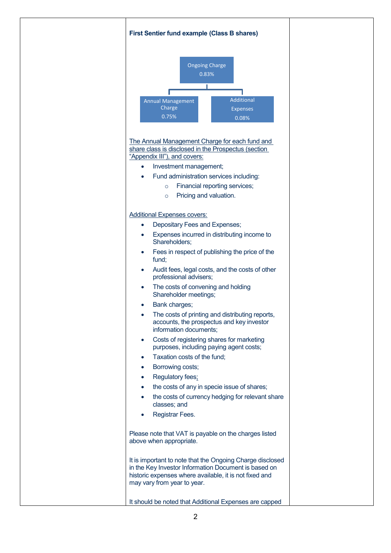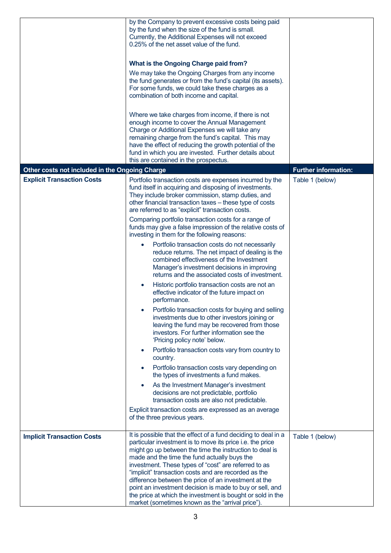|                                                | by the Company to prevent excessive costs being paid<br>by the fund when the size of the fund is small.<br>Currently, the Additional Expenses will not exceed<br>0.25% of the net asset value of the fund.<br>What is the Ongoing Charge paid from?<br>We may take the Ongoing Charges from any income<br>the fund generates or from the fund's capital (its assets).<br>For some funds, we could take these charges as a<br>combination of both income and capital.<br>Where we take charges from income, if there is not<br>enough income to cover the Annual Management<br>Charge or Additional Expenses we will take any<br>remaining charge from the fund's capital. This may<br>have the effect of reducing the growth potential of the<br>fund in which you are invested. Further details about<br>this are contained in the prospectus.                                                                                                                                                                                                                                                                                                                                                                                                                                                                                                                                                                                                                                |                             |
|------------------------------------------------|--------------------------------------------------------------------------------------------------------------------------------------------------------------------------------------------------------------------------------------------------------------------------------------------------------------------------------------------------------------------------------------------------------------------------------------------------------------------------------------------------------------------------------------------------------------------------------------------------------------------------------------------------------------------------------------------------------------------------------------------------------------------------------------------------------------------------------------------------------------------------------------------------------------------------------------------------------------------------------------------------------------------------------------------------------------------------------------------------------------------------------------------------------------------------------------------------------------------------------------------------------------------------------------------------------------------------------------------------------------------------------------------------------------------------------------------------------------------------------|-----------------------------|
| Other costs not included in the Ongoing Charge |                                                                                                                                                                                                                                                                                                                                                                                                                                                                                                                                                                                                                                                                                                                                                                                                                                                                                                                                                                                                                                                                                                                                                                                                                                                                                                                                                                                                                                                                                | <b>Further information:</b> |
| <b>Explicit Transaction Costs</b>              | Portfolio transaction costs are expenses incurred by the<br>fund itself in acquiring and disposing of investments.<br>They include broker commission, stamp duties, and<br>other financial transaction taxes - these type of costs<br>are referred to as "explicit" transaction costs.<br>Comparing portfolio transaction costs for a range of<br>funds may give a false impression of the relative costs of<br>investing in them for the following reasons:<br>Portfolio transaction costs do not necessarily<br>reduce returns. The net impact of dealing is the<br>combined effectiveness of the Investment<br>Manager's investment decisions in improving<br>returns and the associated costs of investment.<br>Historic portfolio transaction costs are not an<br>effective indicator of the future impact on<br>performance.<br>Portfolio transaction costs for buying and selling<br>investments due to other investors joining or<br>leaving the fund may be recovered from those<br>investors. For further information see the<br>'Pricing policy note' below.<br>Portfolio transaction costs vary from country to<br>country.<br>Portfolio transaction costs vary depending on<br>the types of investments a fund makes.<br>As the Investment Manager's investment<br>$\bullet$<br>decisions are not predictable, portfolio<br>transaction costs are also not predictable.<br>Explicit transaction costs are expressed as an average<br>of the three previous years. | Table 1 (below)             |
| <b>Implicit Transaction Costs</b>              | It is possible that the effect of a fund deciding to deal in a<br>particular investment is to move its price i.e. the price<br>might go up between the time the instruction to deal is<br>made and the time the fund actually buys the<br>investment. These types of "cost" are referred to as<br>"implicit" transaction costs and are recorded as the<br>difference between the price of an investment at the<br>point an investment decision is made to buy or sell, and<br>the price at which the investment is bought or sold in the<br>market (sometimes known as the "arrival price").                                                                                                                                                                                                                                                                                                                                                                                                                                                                                                                                                                                                                                                                                                                                                                                                                                                                                   | Table 1 (below)             |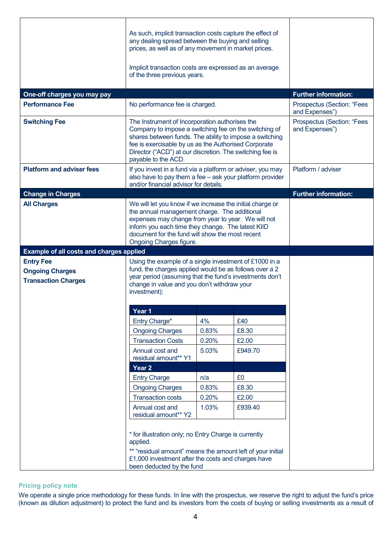| One-off charges you may pay                                              | As such, implicit transaction costs capture the effect of<br>any dealing spread between the buying and selling<br>prices, as well as of any movement in market prices.<br>Implicit transaction costs are expressed as an average<br>of the three previous years.                                              |       |         | <b>Further information:</b>                                    |
|--------------------------------------------------------------------------|---------------------------------------------------------------------------------------------------------------------------------------------------------------------------------------------------------------------------------------------------------------------------------------------------------------|-------|---------|----------------------------------------------------------------|
| <b>Performance Fee</b>                                                   | No performance fee is charged.                                                                                                                                                                                                                                                                                |       |         | Prospectus (Section: "Fees                                     |
| <b>Switching Fee</b>                                                     | The Instrument of Incorporation authorises the<br>Company to impose a switching fee on the switching of<br>shares between funds. The ability to impose a switching<br>fee is exercisable by us as the Authorised Corporate<br>Director ("ACD") at our discretion. The switching fee is<br>payable to the ACD. |       |         | and Expenses")<br>Prospectus (Section: "Fees<br>and Expenses") |
| <b>Platform and adviser fees</b>                                         | If you invest in a fund via a platform or adviser, you may<br>also have to pay them a fee - ask your platform provider<br>and/or financial advisor for details.                                                                                                                                               |       |         | Platform / adviser                                             |
| <b>Change in Charges</b>                                                 |                                                                                                                                                                                                                                                                                                               |       |         | <b>Further information:</b>                                    |
| <b>All Charges</b>                                                       | We will let you know if we increase the initial charge or<br>the annual management charge. The additional<br>expenses may change from year to year. We will not<br>inform you each time they change. The latest KIID<br>document for the fund will show the most recent<br>Ongoing Charges figure.            |       |         |                                                                |
| <b>Example of all costs and charges applied</b>                          |                                                                                                                                                                                                                                                                                                               |       |         |                                                                |
| <b>Entry Fee</b><br><b>Ongoing Charges</b><br><b>Transaction Charges</b> | Using the example of a single investment of £1000 in a<br>fund, the charges applied would be as follows over a 2<br>year period (assuming that the fund's investments don't<br>change in value and you don't withdraw your<br>investment);                                                                    |       |         |                                                                |
|                                                                          | Year 1                                                                                                                                                                                                                                                                                                        |       |         |                                                                |
|                                                                          | Entry Charge*                                                                                                                                                                                                                                                                                                 | 4%    | £40     |                                                                |
|                                                                          | <b>Ongoing Charges</b>                                                                                                                                                                                                                                                                                        | 0.83% | £8.30   |                                                                |
|                                                                          | <b>Transaction Costs</b>                                                                                                                                                                                                                                                                                      | 0.20% | £2.00   |                                                                |
|                                                                          | Annual cost and<br>residual amount** Y1                                                                                                                                                                                                                                                                       | 5.03% | £949.70 |                                                                |
|                                                                          | Year <sub>2</sub>                                                                                                                                                                                                                                                                                             |       |         |                                                                |
|                                                                          | <b>Entry Charge</b>                                                                                                                                                                                                                                                                                           | n/a   | £0      |                                                                |
|                                                                          | <b>Ongoing Charges</b>                                                                                                                                                                                                                                                                                        | 0.83% | £8.30   |                                                                |
|                                                                          | <b>Transaction costs</b>                                                                                                                                                                                                                                                                                      | 0.20% | £2.00   |                                                                |
|                                                                          | Annual cost and<br>residual amount** Y2                                                                                                                                                                                                                                                                       | 1.03% | £939.40 |                                                                |
|                                                                          | * for illustration only; no Entry Charge is currently<br>applied.<br>** "residual amount" means the amount left of your initial<br>£1,000 investment after the costs and charges have<br>been deducted by the fund                                                                                            |       |         |                                                                |

# **Pricing policy note**

We operate a single price methodology for these funds. In line with the prospectus, we reserve the right to adjust the fund's price (known as dilution adjustment) to protect the fund and its investors from the costs of buying or selling investments as a result of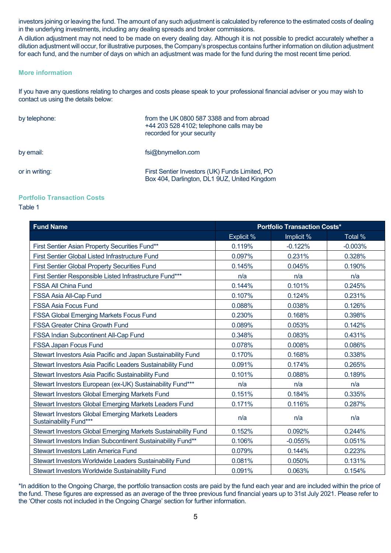investors joining or leaving the fund. The amount of any such adjustment is calculated by reference to the estimated costs of dealing in the underlying investments, including any dealing spreads and broker commissions.

A dilution adjustment may not need to be made on every dealing day. Although it is not possible to predict accurately whether a dilution adjustment will occur, for illustrative purposes, the Company's prospectus contains further information on dilution adjustment for each fund, and the number of days on which an adjustment was made for the fund during the most recent time period.

## **More information**

If you have any questions relating to charges and costs please speak to your professional financial adviser or you may wish to contact us using the details below:

| by telephone:  | from the UK 0800 587 3388 and from abroad<br>+44 203 528 4102; telephone calls may be<br>recorded for your security |  |
|----------------|---------------------------------------------------------------------------------------------------------------------|--|
| by email:      | fsi@bnymellon.com                                                                                                   |  |
| or in writing: | First Sentier Investors (UK) Funds Limited, PO<br>Box 404, Darlington, DL1 9UZ, United Kingdom                      |  |

## **Portfolio Transaction Costs**

## Table 1

| <b>Fund Name</b>                                                                   | <b>Portfolio Transaction Costs*</b> |            |           |
|------------------------------------------------------------------------------------|-------------------------------------|------------|-----------|
|                                                                                    | Explicit %                          | Implicit % | Total %   |
| First Sentier Asian Property Securities Fund**                                     | 0.119%                              | $-0.122%$  | $-0.003%$ |
| First Sentier Global Listed Infrastructure Fund                                    | 0.097%                              | 0.231%     | 0.328%    |
| <b>First Sentier Global Property Securities Fund</b>                               | 0.145%                              | 0.045%     | 0.190%    |
| First Sentier Responsible Listed Infrastructure Fund***                            | n/a                                 | n/a        | n/a       |
| <b>FSSA All China Fund</b>                                                         | 0.144%                              | 0.101%     | 0.245%    |
| FSSA Asia All-Cap Fund                                                             | 0.107%                              | 0.124%     | 0.231%    |
| <b>FSSA Asia Focus Fund</b>                                                        | 0.088%                              | 0.038%     | 0.126%    |
| <b>FSSA Global Emerging Markets Focus Fund</b>                                     | 0.230%                              | 0.168%     | 0.398%    |
| <b>FSSA Greater China Growth Fund</b>                                              | 0.089%                              | 0.053%     | 0.142%    |
| FSSA Indian Subcontinent All-Cap Fund                                              | 0.348%                              | 0.083%     | 0.431%    |
| <b>FSSA Japan Focus Fund</b>                                                       | 0.078%                              | 0.008%     | 0.086%    |
| Stewart Investors Asia Pacific and Japan Sustainability Fund                       | 0.170%                              | 0.168%     | 0.338%    |
| Stewart Investors Asia Pacific Leaders Sustainability Fund                         | 0.091%                              | 0.174%     | 0.265%    |
| Stewart Investors Asia Pacific Sustainability Fund                                 | 0.101%                              | 0.088%     | 0.189%    |
| Stewart Investors European (ex-UK) Sustainability Fund***                          | n/a                                 | n/a        | n/a       |
| <b>Stewart Investors Global Emerging Markets Fund</b>                              | 0.151%                              | 0.184%     | 0.335%    |
| Stewart Investors Global Emerging Markets Leaders Fund                             | 0.171%                              | 0.116%     | 0.287%    |
| <b>Stewart Investors Global Emerging Markets Leaders</b><br>Sustainability Fund*** | n/a                                 | n/a        | n/a       |
| Stewart Investors Global Emerging Markets Sustainability Fund                      | 0.152%                              | 0.092%     | 0.244%    |
| Stewart Investors Indian Subcontinent Sustainability Fund**                        | 0.106%                              | $-0.055%$  | 0.051%    |
| Stewart Investors Latin America Fund                                               | 0.079%                              | 0.144%     | 0.223%    |
| Stewart Investors Worldwide Leaders Sustainability Fund                            | 0.081%                              | 0.050%     | 0.131%    |
| Stewart Investors Worldwide Sustainability Fund                                    | 0.091%                              | 0.063%     | 0.154%    |

\*In addition to the Ongoing Charge, the portfolio transaction costs are paid by the fund each year and are included within the price of the fund. These figures are expressed as an average of the three previous fund financial years up to 31st July 2021. Please refer to the 'Other costs not included in the Ongoing Charge' section for further information.